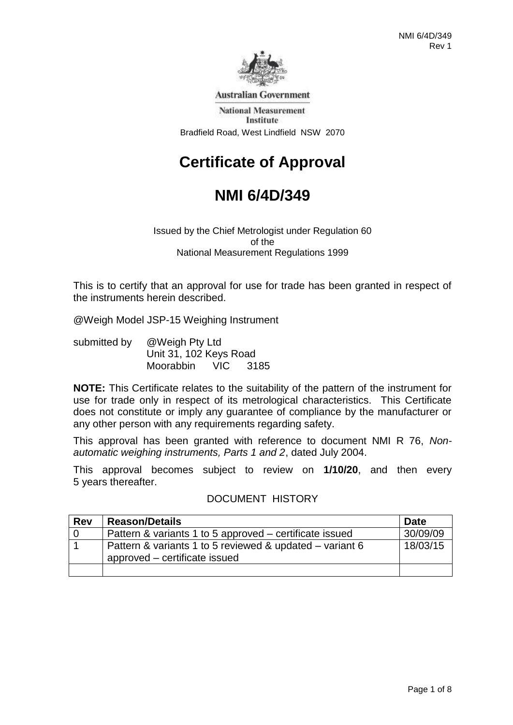

**Australian Government** 

**National Measurement** Institute Bradfield Road, West Lindfield NSW 2070

# **Certificate of Approval**

# **NMI 6/4D/349**

Issued by the Chief Metrologist under Regulation 60 of the National Measurement Regulations 1999

This is to certify that an approval for use for trade has been granted in respect of the instruments herein described.

@Weigh Model JSP-15 Weighing Instrument

submitted by @Weigh Pty Ltd Unit 31, 102 Keys Road Moorabbin VIC 3185

**NOTE:** This Certificate relates to the suitability of the pattern of the instrument for use for trade only in respect of its metrological characteristics. This Certificate does not constitute or imply any guarantee of compliance by the manufacturer or any other person with any requirements regarding safety.

This approval has been granted with reference to document NMI R 76, *Nonautomatic weighing instruments, Parts 1 and 2*, dated July 2004.

This approval becomes subject to review on **1/10/20**, and then every 5 years thereafter.

### DOCUMENT HISTORY

| <b>Rev</b> | <b>Reason/Details</b>                                    | <b>Date</b> |
|------------|----------------------------------------------------------|-------------|
| l 0        | Pattern & variants 1 to 5 approved – certificate issued  | 30/09/09    |
|            | Pattern & variants 1 to 5 reviewed & updated – variant 6 | 18/03/15    |
|            | approved – certificate issued                            |             |
|            |                                                          |             |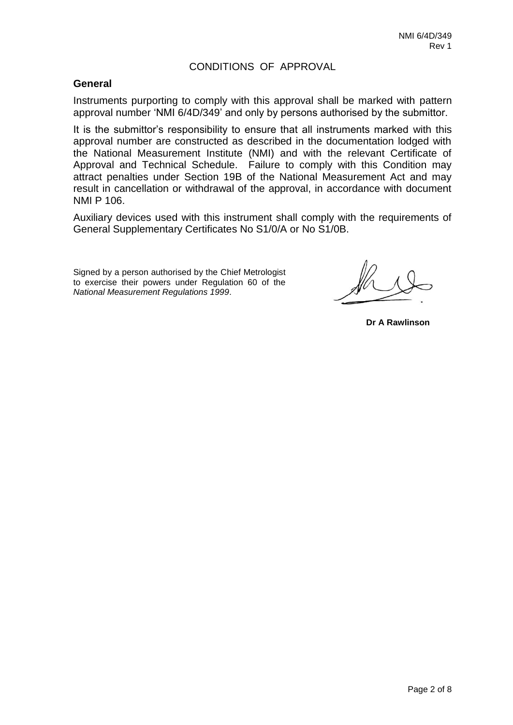### CONDITIONS OF APPROVAL

### **General**

Instruments purporting to comply with this approval shall be marked with pattern approval number 'NMI 6/4D/349' and only by persons authorised by the submittor.

It is the submittor's responsibility to ensure that all instruments marked with this approval number are constructed as described in the documentation lodged with the National Measurement Institute (NMI) and with the relevant Certificate of Approval and Technical Schedule. Failure to comply with this Condition may attract penalties under Section 19B of the National Measurement Act and may result in cancellation or withdrawal of the approval, in accordance with document NMI P 106.

Auxiliary devices used with this instrument shall comply with the requirements of General Supplementary Certificates No S1/0/A or No S1/0B.

Signed by a person authorised by the Chief Metrologist to exercise their powers under Regulation 60 of the *National Measurement Regulations 1999*.

**Dr A Rawlinson**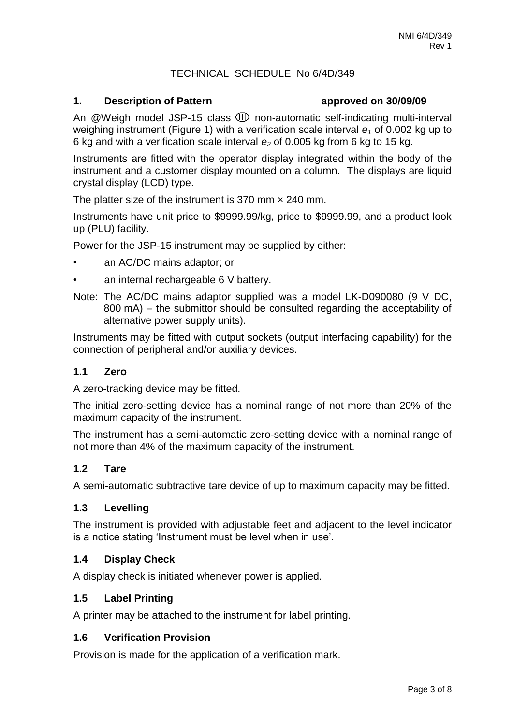### TECHNICAL SCHEDULE No 6/4D/349

### **1. Description of Pattern approved on 30/09/09**

An  $@$ Weigh model JSP-15 class  $@$  non-automatic self-indicating multi-interval weighing instrument (Figure 1) with a verification scale interval *e<sup>1</sup>* of 0.002 kg up to 6 kg and with a verification scale interval *e<sup>2</sup>* of 0.005 kg from 6 kg to 15 kg.

Instruments are fitted with the operator display integrated within the body of the instrument and a customer display mounted on a column. The displays are liquid crystal display (LCD) type.

The platter size of the instrument is 370 mm  $\times$  240 mm.

Instruments have unit price to \$9999.99/kg, price to \$9999.99, and a product look up (PLU) facility.

Power for the JSP-15 instrument may be supplied by either:

- an AC/DC mains adaptor; or
- an internal rechargeable 6 V battery.
- Note: The AC/DC mains adaptor supplied was a model LK-D090080 (9 V DC, 800 mA) – the submittor should be consulted regarding the acceptability of alternative power supply units).

Instruments may be fitted with output sockets (output interfacing capability) for the connection of peripheral and/or auxiliary devices.

### **1.1 Zero**

A zero-tracking device may be fitted.

The initial zero-setting device has a nominal range of not more than 20% of the maximum capacity of the instrument.

The instrument has a semi-automatic zero-setting device with a nominal range of not more than 4% of the maximum capacity of the instrument.

### **1.2 Tare**

A semi-automatic subtractive tare device of up to maximum capacity may be fitted.

### **1.3 Levelling**

The instrument is provided with adjustable feet and adjacent to the level indicator is a notice stating 'Instrument must be level when in use'.

### **1.4 Display Check**

A display check is initiated whenever power is applied.

### **1.5 Label Printing**

A printer may be attached to the instrument for label printing.

### **1.6 Verification Provision**

Provision is made for the application of a verification mark.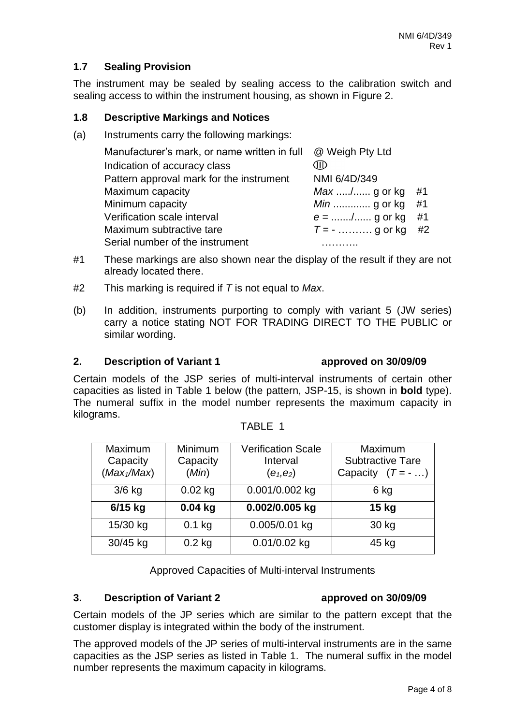### **1.7 Sealing Provision**

The instrument may be sealed by sealing access to the calibration switch and sealing access to within the instrument housing, as shown in Figure 2.

### **1.8 Descriptive Markings and Notices**

(a) Instruments carry the following markings:

| Manufacturer's mark, or name written in full | @ Weigh Pty Ltd    |    |
|----------------------------------------------|--------------------|----|
| Indication of accuracy class                 | Œ                  |    |
| Pattern approval mark for the instrument     | NMI 6/4D/349       |    |
| Maximum capacity                             | Max / g or kg      | #1 |
| Minimum capacity                             | <i>Min</i> g or kg | #1 |
| Verification scale interval                  | $e =  /  g$ or kg  | #1 |
| Maximum subtractive tare                     | $T = -$ g or kg    | #2 |
| Serial number of the instrument              |                    |    |

- #1 These markings are also shown near the display of the result if they are not already located there.
- #2 This marking is required if *T* is not equal to *Max*.
- (b) In addition, instruments purporting to comply with variant 5 (JW series) carry a notice stating NOT FOR TRADING DIRECT TO THE PUBLIC or similar wording.

### **2. Description of Variant 1 approved on 30/09/09**

Certain models of the JSP series of multi-interval instruments of certain other capacities as listed in Table 1 below (the pattern, JSP-15, is shown in **bold** type). The numeral suffix in the model number represents the maximum capacity in kilograms.

| Maximum<br>Capacity<br>(Max <sub>1</sub> /Max) | Minimum<br>Capacity<br>(Min) | <b>Verification Scale</b><br>Interval<br>$(e_1,e_2)$ | Maximum<br><b>Subtractive Tare</b><br>Capacity $(T = - \dots)$ |
|------------------------------------------------|------------------------------|------------------------------------------------------|----------------------------------------------------------------|
| $3/6$ kg                                       | $0.02$ kg                    | 0.001/0.002 kg                                       | 6 kg                                                           |
| 6/15 kg                                        | $0.04$ kg                    | 0.002/0.005 kg                                       | 15 kg                                                          |
| 15/30 kg                                       | $0.1$ kg                     | 0.005/0.01 kg                                        | 30 kg                                                          |
| 30/45 kg                                       | $0.2$ kg                     | 0.01/0.02 kg                                         | 45 kg                                                          |

TABLE 1

Approved Capacities of Multi-interval Instruments

### **3. Description of Variant 2 approved on 30/09/09**

Certain models of the JP series which are similar to the pattern except that the customer display is integrated within the body of the instrument.

The approved models of the JP series of multi-interval instruments are in the same capacities as the JSP series as listed in Table 1. The numeral suffix in the model number represents the maximum capacity in kilograms.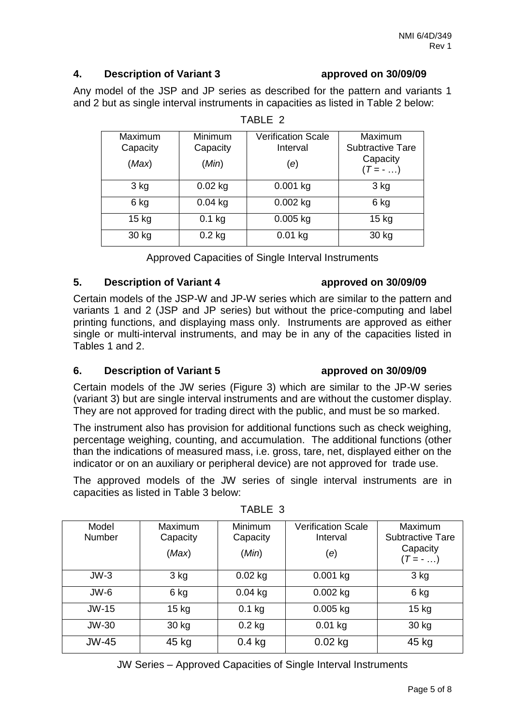### **4. Description of Variant 3 approved on 30/09/09**

Any model of the JSP and JP series as described for the pattern and variants 1 and 2 but as single interval instruments in capacities as listed in Table 2 below:

| Maximum<br>Capacity<br>(Max) | <b>Minimum</b><br>Capacity<br>(Min) | <b>Verification Scale</b><br>Interval<br>(e) | Maximum<br><b>Subtractive Tare</b><br>Capacity<br>$(T = - \dots)$ |
|------------------------------|-------------------------------------|----------------------------------------------|-------------------------------------------------------------------|
| 3 kg                         | $0.02$ kg                           | $0.001$ kg                                   | 3 kg                                                              |
| 6 kg                         | $0.04$ kg                           | $0.002$ kg                                   | 6 kg                                                              |
| $15$ kg                      | $0.1$ kg                            | $0.005$ kg                                   | $15$ kg                                                           |
| 30 kg                        | $0.2$ kg                            | $0.01$ kg                                    | 30 kg                                                             |

TABLE 2

Approved Capacities of Single Interval Instruments

### **5. Description of Variant 4 approved on 30/09/09**

### Certain models of the JSP-W and JP-W series which are similar to the pattern and variants 1 and 2 (JSP and JP series) but without the price-computing and label printing functions, and displaying mass only. Instruments are approved as either single or multi-interval instruments, and may be in any of the capacities listed in Tables 1 and 2.

### **6. Description of Variant 5 approved on 30/09/09**

Certain models of the JW series (Figure 3) which are similar to the JP-W series (variant 3) but are single interval instruments and are without the customer display. They are not approved for trading direct with the public, and must be so marked.

The instrument also has provision for additional functions such as check weighing, percentage weighing, counting, and accumulation. The additional functions (other than the indications of measured mass, i.e. gross, tare, net, displayed either on the indicator or on an auxiliary or peripheral device) are not approved for trade use.

The approved models of the JW series of single interval instruments are in capacities as listed in Table 3 below:

| Model<br><b>Number</b> | <b>Maximum</b><br>Capacity<br>(Max) | <b>Minimum</b><br>Capacity<br>(Min) | Verification Scale<br>Interval<br>(e) | <b>Maximum</b><br><b>Subtractive Tare</b><br>Capacity<br>$(T = - \dots)$ |
|------------------------|-------------------------------------|-------------------------------------|---------------------------------------|--------------------------------------------------------------------------|
| $JW-3$                 | $3$ kg                              | $0.02$ kg                           | $0.001$ kg                            | $3$ kg                                                                   |
| JW-6                   | 6 kg                                | $0.04$ kg                           | $0.002$ kg                            | 6 kg                                                                     |
| JW-15                  | $15$ kg                             | $0.1$ kg                            | $0.005$ kg                            | $15$ kg                                                                  |
| JW-30                  | 30 kg                               | $0.2$ kg                            | $0.01$ kg                             | 30 kg                                                                    |
| $JW-45$                | 45 kg                               | $0.4$ kg                            | $0.02$ kg                             | 45 kg                                                                    |

TABLE 3

JW Series – Approved Capacities of Single Interval Instruments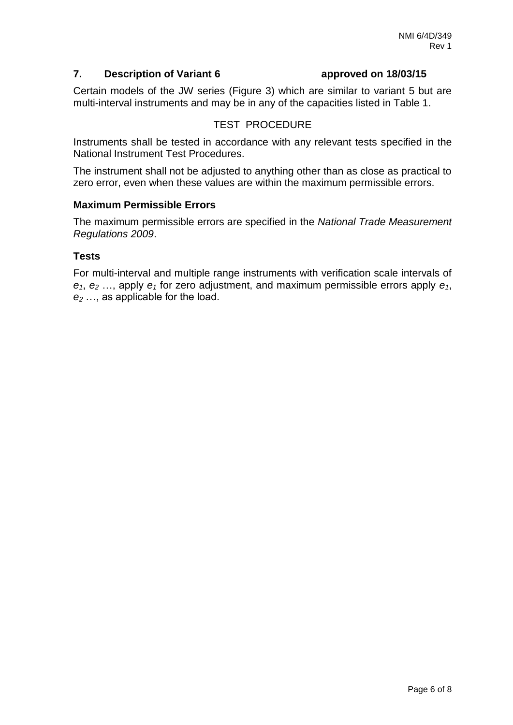### **7. Description of Variant 6 approved on 18/03/15**

Certain models of the JW series (Figure 3) which are similar to variant 5 but are multi-interval instruments and may be in any of the capacities listed in Table 1.

### TEST PROCEDURE

Instruments shall be tested in accordance with any relevant tests specified in the National Instrument Test Procedures.

The instrument shall not be adjusted to anything other than as close as practical to zero error, even when these values are within the maximum permissible errors.

### **Maximum Permissible Errors**

The maximum permissible errors are specified in the *National Trade Measurement Regulations 2009*.

### **Tests**

For multi-interval and multiple range instruments with verification scale intervals of *e1*, *e<sup>2</sup>* …, apply *e<sup>1</sup>* for zero adjustment, and maximum permissible errors apply *e1*, *e<sup>2</sup>* …, as applicable for the load.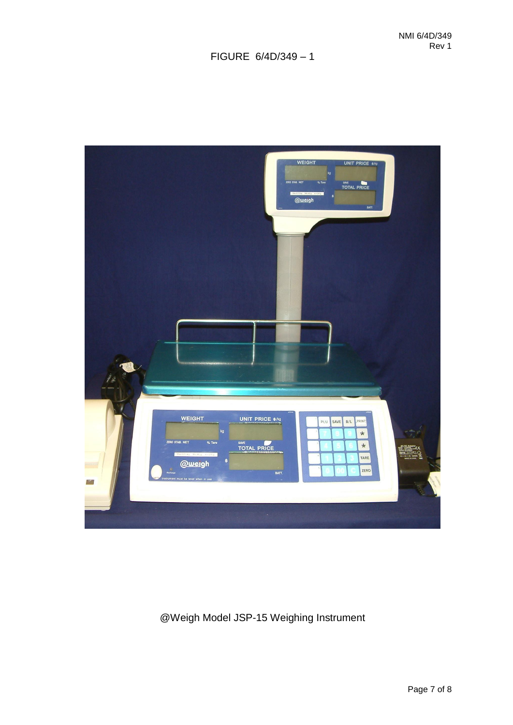## FIGURE 6/4D/349 – 1



## @Weigh Model JSP-15 Weighing Instrument